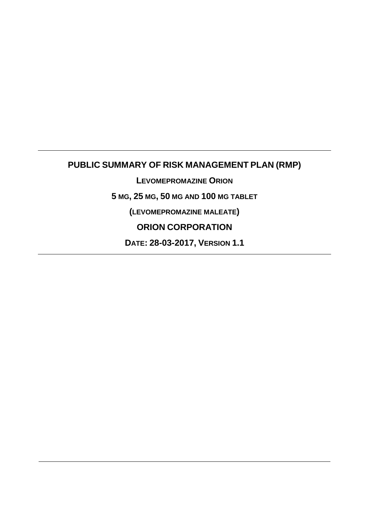# **PUBLIC SUMMARY OF RISK MANAGEMENT PLAN (RMP)**

**LEVOMEPROMAZINE ORION**

**5 MG, 25 MG, 50 MG AND 100 MG TABLET**

**(LEVOMEPROMAZINE MALEATE)**

**ORION CORPORATION**

**DATE: 28-03-2017, VERSION 1.1**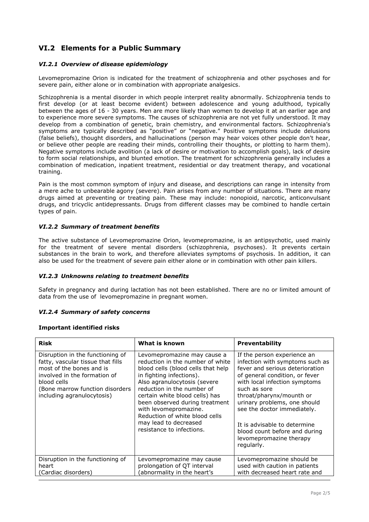# **VI.2 Elements for a Public Summary**

### *VI.2.1 Overview of disease epidemiology*

Levomepromazine Orion is indicated for the treatment of schizophrenia and other psychoses and for severe pain, either alone or in combination with appropriate analgesics.

Schizophrenia is a mental disorder in which people interpret reality abnormally. Schizophrenia tends to first develop (or at least become evident) between adolescence and young adulthood, typically between the ages of 16 - 30 years. Men are more likely than women to develop it at an earlier age and to experience more severe symptoms. The causes of schizophrenia are not yet fully understood. It may develop from a combination of genetic, brain chemistry, and environmental factors. Schizophrenia's symptoms are typically described as "positive" or "negative." Positive symptoms include delusions (false beliefs), thought disorders, and hallucinations (person may hear voices other people don't hear, or believe other people are reading their minds, controlling their thoughts, or plotting to harm them). Negative symptoms include avolition (a lack of desire or motivation to accomplish goals), lack of desire to form social relationships, and blunted emotion. The treatment for schizophrenia generally includes a combination of medication, inpatient treatment, residential or day treatment therapy, and vocational training.

Pain is the most common symptom of injury and disease, and descriptions can range in intensity from a mere ache to unbearable agony (severe). Pain arises from any number of situations. There are many drugs aimed at preventing or treating pain. These may include: nonopioid, narcotic, anticonvulsant drugs, and tricyclic antidepressants. Drugs from different classes may be combined to handle certain types of pain.

#### *VI.2.2 Summary of treatment benefits*

The active substance of Levomepromazine Orion, levomepromazine, is an antipsychotic, used mainly for the treatment of severe mental disorders (schizophrenia, psychoses). It prevents certain substances in the brain to work, and therefore alleviates symptoms of psychosis. In addition, it can also be used for the treatment of severe pain either alone or in combination with other pain killers.

#### *VI.2.3 Unknowns relating to treatment benefits*

Safety in pregnancy and during lactation has not been established. There are no or limited amount of data from the use of levomepromazine in pregnant women.

#### *VI.2.4 Summary of safety concerns*

#### **Important identified risks**

| <b>Risk</b>                                                                                                                                                                                                       | What is known                                                                                                                                                                                                                                                                                                                                                                        | <b>Preventability</b>                                                                                                                                                                                                                                                                                                                                                                     |
|-------------------------------------------------------------------------------------------------------------------------------------------------------------------------------------------------------------------|--------------------------------------------------------------------------------------------------------------------------------------------------------------------------------------------------------------------------------------------------------------------------------------------------------------------------------------------------------------------------------------|-------------------------------------------------------------------------------------------------------------------------------------------------------------------------------------------------------------------------------------------------------------------------------------------------------------------------------------------------------------------------------------------|
| Disruption in the functioning of<br>fatty, vascular tissue that fills<br>most of the bones and is<br>involved in the formation of<br>blood cells<br>(Bone marrow function disorders<br>including agranulocytosis) | Levomepromazine may cause a<br>reduction in the number of white<br>blood cells (blood cells that help<br>in fighting infections).<br>Also agranulocytosis (severe<br>reduction in the number of<br>certain white blood cells) has<br>been observed during treatment<br>with levomepromazine.<br>Reduction of white blood cells<br>may lead to decreased<br>resistance to infections. | If the person experience an<br>infection with symptoms such as<br>fever and serious deterioration<br>of general condition, or fever<br>with local infection symptoms<br>such as sore<br>throat/pharynx/mounth or<br>urinary problems, one should<br>see the doctor immediately.<br>It is advisable to determine<br>blood count before and during<br>levomepromazine therapy<br>regularly. |
| Disruption in the functioning of<br>heart<br>(Cardiac disorders)                                                                                                                                                  | Levomepromazine may cause<br>prolongation of QT interval<br>abnormality in the heart's                                                                                                                                                                                                                                                                                               | Levomepromazine should be<br>used with caution in patients<br>with decreased heart rate and                                                                                                                                                                                                                                                                                               |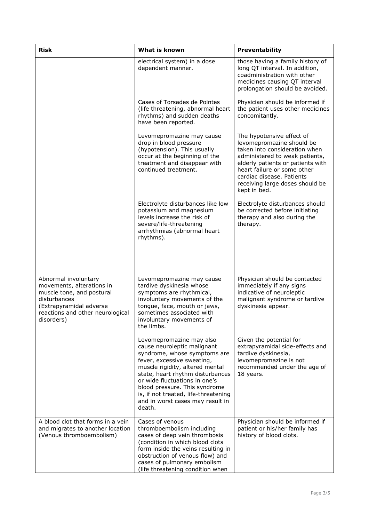| <b>Risk</b>                                                                                                                                                                 | What is known                                                                                                                                                                                                                                                                                                                                        | <b>Preventability</b>                                                                                                                                                                                                                                                         |
|-----------------------------------------------------------------------------------------------------------------------------------------------------------------------------|------------------------------------------------------------------------------------------------------------------------------------------------------------------------------------------------------------------------------------------------------------------------------------------------------------------------------------------------------|-------------------------------------------------------------------------------------------------------------------------------------------------------------------------------------------------------------------------------------------------------------------------------|
|                                                                                                                                                                             | electrical system) in a dose<br>dependent manner.                                                                                                                                                                                                                                                                                                    | those having a family history of<br>long QT interval. In addition,<br>coadministration with other<br>medicines causing QT interval<br>prolongation should be avoided.                                                                                                         |
|                                                                                                                                                                             | Cases of Torsades de Pointes<br>(life threatening, abnormal heart<br>rhythms) and sudden deaths<br>have been reported.                                                                                                                                                                                                                               | Physician should be informed if<br>the patient uses other medicines<br>concomitantly.                                                                                                                                                                                         |
|                                                                                                                                                                             | Levomepromazine may cause<br>drop in blood pressure<br>(hypotension). This usually<br>occur at the beginning of the<br>treatment and disappear with<br>continued treatment.                                                                                                                                                                          | The hypotensive effect of<br>levomepromazine should be<br>taken into consideration when<br>administered to weak patients,<br>elderly patients or patients with<br>heart failure or some other<br>cardiac disease. Patients<br>receiving large doses should be<br>kept in bed. |
|                                                                                                                                                                             | Electrolyte disturbances like low<br>potassium and magnesium<br>levels increase the risk of<br>severe/life-threatening<br>arrhythmias (abnormal heart<br>rhythms).                                                                                                                                                                                   | Electrolyte disturbances should<br>be corrected before initiating<br>therapy and also during the<br>therapy.                                                                                                                                                                  |
| Abnormal involuntary<br>movements, alterations in<br>muscle tone, and postural<br>disturbances<br>(Extrapyramidal adverse<br>reactions and other neurological<br>disorders) | Levomepromazine may cause<br>tardive dyskinesia whose<br>symptoms are rhythmical,<br>involuntary movements of the<br>tongue, face, mouth or jaws,<br>sometimes associated with<br>involuntary movements of<br>the limbs.                                                                                                                             | Physician should be contacted<br>immediately if any signs<br>indicative of neuroleptic<br>malignant syndrome or tardive<br>dyskinesia appear.                                                                                                                                 |
|                                                                                                                                                                             | Levomepromazine may also<br>cause neuroleptic malignant<br>syndrome, whose symptoms are<br>fever, excessive sweating,<br>muscle rigidity, altered mental<br>state, heart rhythm disturbances<br>or wide fluctuations in one's<br>blood pressure. This syndrome<br>is, if not treated, life-threatening<br>and in worst cases may result in<br>death. | Given the potential for<br>extrapyramidal side-effects and<br>tardive dyskinesia,<br>levomepromazine is not<br>recommended under the age of<br>18 years.                                                                                                                      |
| A blood clot that forms in a vein<br>and migrates to another location<br>(Venous thromboembolism)                                                                           | Cases of venous<br>thromboembolism including<br>cases of deep vein thrombosis<br>(condition in which blood clots<br>form inside the veins resulting in<br>obstruction of venous flow) and<br>cases of pulmonary embolism<br>(life threatening condition when                                                                                         | Physician should be informed if<br>patient or his/her family has<br>history of blood clots.                                                                                                                                                                                   |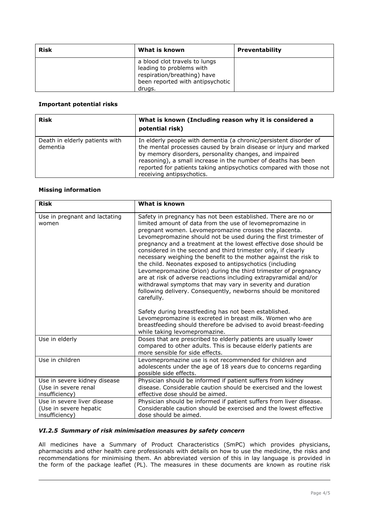| <b>Risk</b> | What is known                                                                                                                          | <b>Preventability</b> |
|-------------|----------------------------------------------------------------------------------------------------------------------------------------|-----------------------|
|             | a blood clot travels to lungs<br>leading to problems with<br>respiration/breathing) have<br>been reported with antipsychotic<br>drugs. |                       |

### **Important potential risks**

| <b>Risk</b>                                | What is known (Including reason why it is considered a<br>potential risk)                                                                                                                                                                                                                                                                                             |
|--------------------------------------------|-----------------------------------------------------------------------------------------------------------------------------------------------------------------------------------------------------------------------------------------------------------------------------------------------------------------------------------------------------------------------|
| Death in elderly patients with<br>dementia | In elderly people with dementia (a chronic/persistent disorder of<br>the mental processes caused by brain disease or injury and marked<br>by memory disorders, personality changes, and impaired<br>reasoning), a small increase in the number of deaths has been<br>reported for patients taking antipsychotics compared with those not<br>receiving antipsychotics. |

### **Missing information**

| <b>Risk</b>                                                             | What is known                                                                                                                                                                                                                                                                                                                                                                                                                                                                                                                                                                                                                                                                                                                                                                                                    |
|-------------------------------------------------------------------------|------------------------------------------------------------------------------------------------------------------------------------------------------------------------------------------------------------------------------------------------------------------------------------------------------------------------------------------------------------------------------------------------------------------------------------------------------------------------------------------------------------------------------------------------------------------------------------------------------------------------------------------------------------------------------------------------------------------------------------------------------------------------------------------------------------------|
| Use in pregnant and lactating<br>women                                  | Safety in pregnancy has not been established. There are no or<br>limited amount of data from the use of levomepromazine in<br>pregnant women. Levomepromazine crosses the placenta.<br>Levomepromazine should not be used during the first trimester of<br>pregnancy and a treatment at the lowest effective dose should be<br>considered in the second and third trimester only, if clearly<br>necessary weighing the benefit to the mother against the risk to<br>the child. Neonates exposed to antipsychotics (including<br>Levomepromazine Orion) during the third trimester of pregnancy<br>are at risk of adverse reactions including extrapyramidal and/or<br>withdrawal symptoms that may vary in severity and duration<br>following delivery. Consequently, newborns should be monitored<br>carefully. |
|                                                                         | Safety during breastfeeding has not been established.<br>Levomepromazine is excreted in breast milk. Women who are<br>breastfeeding should therefore be advised to avoid breast-feeding<br>while taking levomepromazine.                                                                                                                                                                                                                                                                                                                                                                                                                                                                                                                                                                                         |
| Use in elderly                                                          | Doses that are prescribed to elderly patients are usually lower<br>compared to other adults. This is because elderly patients are<br>more sensible for side effects.                                                                                                                                                                                                                                                                                                                                                                                                                                                                                                                                                                                                                                             |
| Use in children                                                         | Levomepromazine use is not recommended for children and<br>adolescents under the age of 18 years due to concerns regarding<br>possible side effects.                                                                                                                                                                                                                                                                                                                                                                                                                                                                                                                                                                                                                                                             |
| Use in severe kidney disease<br>(Use in severe renal<br>insufficiency)  | Physician should be informed if patient suffers from kidney<br>disease. Considerable caution should be exercised and the lowest<br>effective dose should be aimed.                                                                                                                                                                                                                                                                                                                                                                                                                                                                                                                                                                                                                                               |
| Use in severe liver disease<br>(Use in severe hepatic<br>insufficiency) | Physician should be informed if patient suffers from liver disease.<br>Considerable caution should be exercised and the lowest effective<br>dose should be aimed.                                                                                                                                                                                                                                                                                                                                                                                                                                                                                                                                                                                                                                                |

## *VI.2.5 Summary of risk minimisation measures by safety concern*

All medicines have a Summary of Product Characteristics (SmPC) which provides physicians, pharmacists and other health care professionals with details on how to use the medicine, the risks and recommendations for minimising them. An abbreviated version of this in lay language is provided in the form of the package leaflet (PL). The measures in these documents are known as routine risk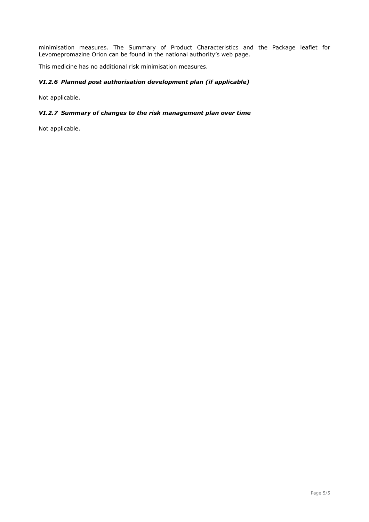minimisation measures. The Summary of Product Characteristics and the Package leaflet for Levomepromazine Orion can be found in the national authority's web page.

This medicine has no additional risk minimisation measures.

### *VI.2.6 Planned post authorisation development plan (if applicable)*

Not applicable.

#### *VI.2.7 Summary of changes to the risk management plan over time*

Not applicable.